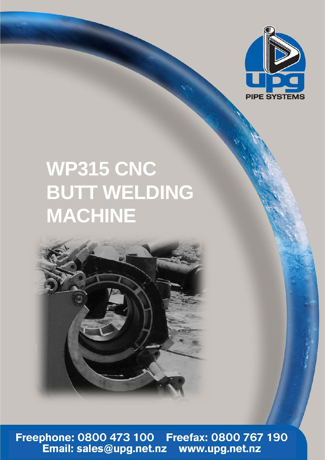

## **WP315 CNC BUTT WELDING MACHINE**



Freephone: 0800 473 100 Freefax: 0800 767 190<br>Email: sales@upg.net.nz www.upg.net.nz